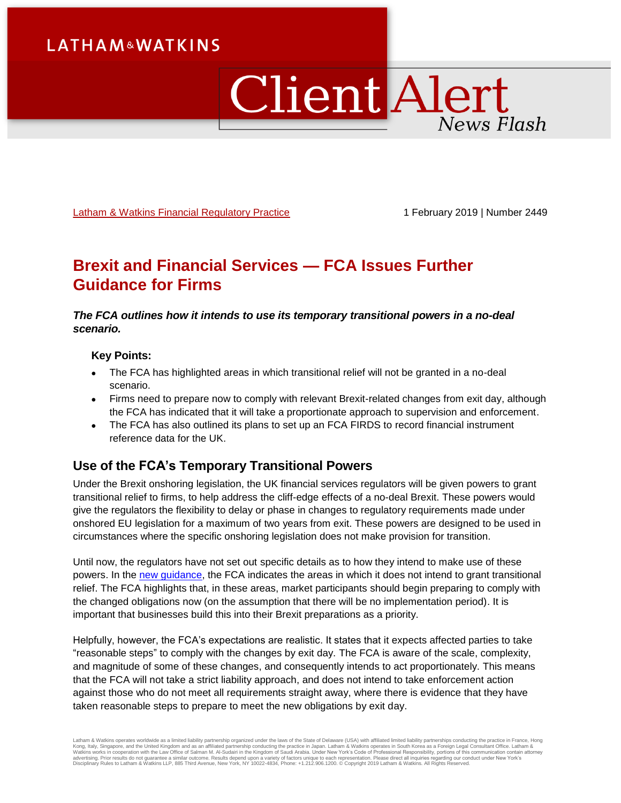# **LATHAM&WATKINS**

# Client Alert News Flash

[Latham & Watkins Financial Regulatory Practice](https://www.lw.com/practices/FinancialRegulatory) 1 February 2019 | Number 2449

# **Brexit and Financial Services — FCA Issues Further Guidance for Firms**

#### *The FCA outlines how it intends to use its temporary transitional powers in a no-deal scenario.*

#### **Key Points:**

- The FCA has highlighted areas in which transitional relief will not be granted in a no-deal scenario.
- Firms need to prepare now to comply with relevant Brexit-related changes from exit day, although the FCA has indicated that it will take a proportionate approach to supervision and enforcement.
- The FCA has also outlined its plans to set up an FCA FIRDS to record financial instrument reference data for the UK.

## **Use of the FCA's Temporary Transitional Powers**

Under the Brexit onshoring legislation, the UK financial services regulators will be given powers to grant transitional relief to firms, to help address the cliff-edge effects of a no-deal Brexit. These powers would give the regulators the flexibility to delay or phase in changes to regulatory requirements made under onshored EU legislation for a maximum of two years from exit. These powers are designed to be used in circumstances where the specific onshoring legislation does not make provision for transition.

Until now, the regulators have not set out specific details as to how they intend to make use of these powers. In the [new guidance,](https://www.fca.org.uk/news/statements/brexit-what-we-expect-firms-now) the FCA indicates the areas in which it does not intend to grant transitional relief. The FCA highlights that, in these areas, market participants should begin preparing to comply with the changed obligations now (on the assumption that there will be no implementation period). It is important that businesses build this into their Brexit preparations as a priority.

Helpfully, however, the FCA's expectations are realistic. It states that it expects affected parties to take "reasonable steps" to comply with the changes by exit day. The FCA is aware of the scale, complexity, and magnitude of some of these changes, and consequently intends to act proportionately. This means that the FCA will not take a strict liability approach, and does not intend to take enforcement action against those who do not meet all requirements straight away, where there is evidence that they have taken reasonable steps to prepare to meet the new obligations by exit day.

Latham & Watkins operates worldwide as a limited liability partnership organized under the laws of the State of Delaware (USA) with affiliated limited liability partnerships conducting the practice in France, Hong<br>Kong, It Disciplinary Rules to Latham & Watkins LLP, 885 Third Avenue, New York, NY 10022-4834, Phone: +1.212.906.1200. © Copyright 2019 Latham & Watkins. All Rights Reserved.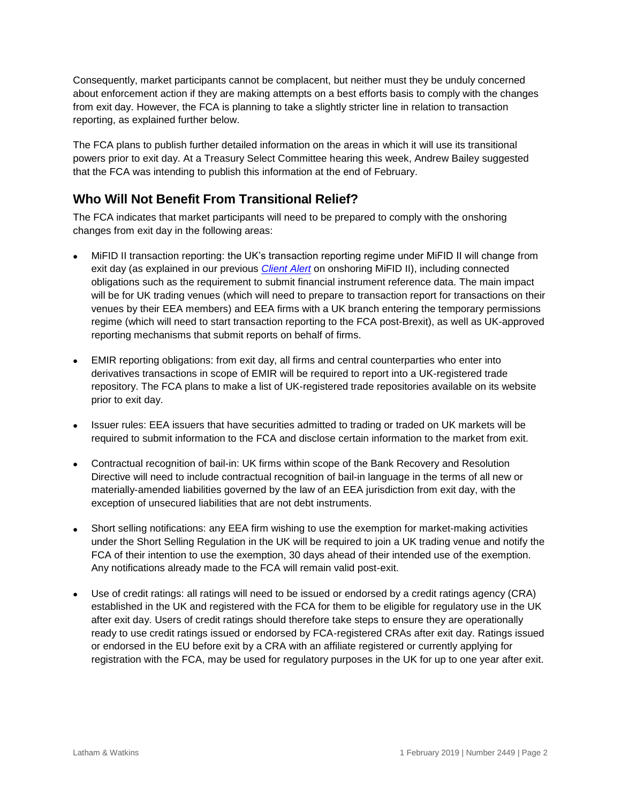Consequently, market participants cannot be complacent, but neither must they be unduly concerned about enforcement action if they are making attempts on a best efforts basis to comply with the changes from exit day. However, the FCA is planning to take a slightly stricter line in relation to transaction reporting, as explained further below.

The FCA plans to publish further detailed information on the areas in which it will use its transitional powers prior to exit day. At a Treasury Select Committee hearing this week, Andrew Bailey suggested that the FCA was intending to publish this information at the end of February.

## **Who Will Not Benefit From Transitional Relief?**

The FCA indicates that market participants will need to be prepared to comply with the onshoring changes from exit day in the following areas:

- MiFID II transaction reporting: the UK's transaction reporting regime under MiFID II will change from exit day (as explained in our previous *[Client Alert](https://www.lw.com/thoughtLeadership/lw-brexit-financial-services-onshoring-mifid-ii)* on onshoring MiFID II), including connected obligations such as the requirement to submit financial instrument reference data. The main impact will be for UK trading venues (which will need to prepare to transaction report for transactions on their venues by their EEA members) and EEA firms with a UK branch entering the temporary permissions regime (which will need to start transaction reporting to the FCA post-Brexit), as well as UK-approved reporting mechanisms that submit reports on behalf of firms.
- EMIR reporting obligations: from exit day, all firms and central counterparties who enter into derivatives transactions in scope of EMIR will be required to report into a UK-registered trade repository. The FCA plans to make a list of UK-registered trade repositories available on its website prior to exit day.
- Issuer rules: EEA issuers that have securities admitted to trading or traded on UK markets will be required to submit information to the FCA and disclose certain information to the market from exit.
- Contractual recognition of bail-in: UK firms within scope of the Bank Recovery and Resolution Directive will need to include contractual recognition of bail-in language in the terms of all new or materially-amended liabilities governed by the law of an EEA jurisdiction from exit day, with the exception of unsecured liabilities that are not debt instruments.
- Short selling notifications: any EEA firm wishing to use the exemption for market-making activities under the Short Selling Regulation in the UK will be required to join a UK trading venue and notify the FCA of their intention to use the exemption, 30 days ahead of their intended use of the exemption. Any notifications already made to the FCA will remain valid post-exit.
- Use of credit ratings: all ratings will need to be issued or endorsed by a credit ratings agency (CRA) established in the UK and registered with the FCA for them to be eligible for regulatory use in the UK after exit day. Users of credit ratings should therefore take steps to ensure they are operationally ready to use credit ratings issued or endorsed by FCA-registered CRAs after exit day. Ratings issued or endorsed in the EU before exit by a CRA with an affiliate registered or currently applying for registration with the FCA, may be used for regulatory purposes in the UK for up to one year after exit.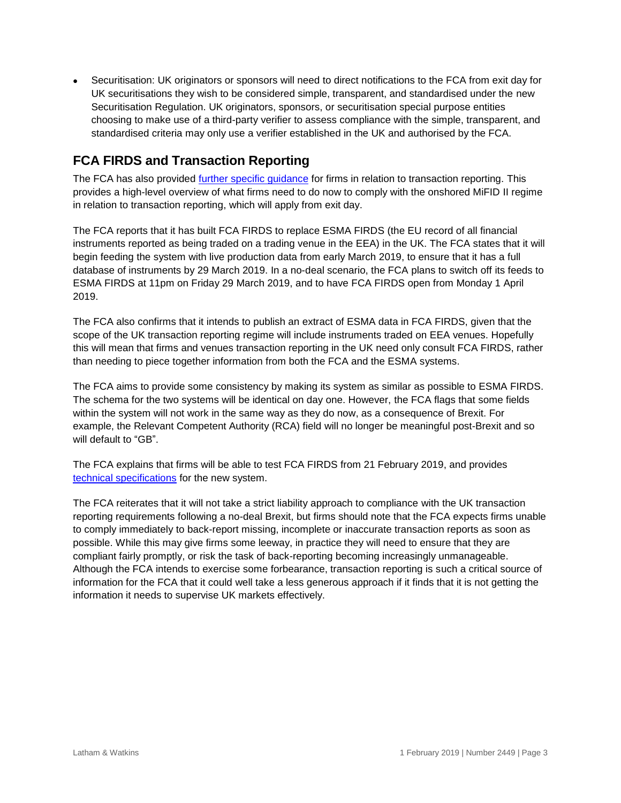Securitisation: UK originators or sponsors will need to direct notifications to the FCA from exit day for UK securitisations they wish to be considered simple, transparent, and standardised under the new Securitisation Regulation. UK originators, sponsors, or securitisation special purpose entities choosing to make use of a third-party verifier to assess compliance with the simple, transparent, and standardised criteria may only use a verifier established in the UK and authorised by the FCA.

## **FCA FIRDS and Transaction Reporting**

The FCA has also provided [further specific guidance](https://www.fca.org.uk/markets/market-data-regimes/fca-firds-and-transaction-reporting) for firms in relation to transaction reporting. This provides a high-level overview of what firms need to do now to comply with the onshored MiFID II regime in relation to transaction reporting, which will apply from exit day.

The FCA reports that it has built FCA FIRDS to replace ESMA FIRDS (the EU record of all financial instruments reported as being traded on a trading venue in the EEA) in the UK. The FCA states that it will begin feeding the system with live production data from early March 2019, to ensure that it has a full database of instruments by 29 March 2019. In a no-deal scenario, the FCA plans to switch off its feeds to ESMA FIRDS at 11pm on Friday 29 March 2019, and to have FCA FIRDS open from Monday 1 April 2019.

The FCA also confirms that it intends to publish an extract of ESMA data in FCA FIRDS, given that the scope of the UK transaction reporting regime will include instruments traded on EEA venues. Hopefully this will mean that firms and venues transaction reporting in the UK need only consult FCA FIRDS, rather than needing to piece together information from both the FCA and the ESMA systems.

The FCA aims to provide some consistency by making its system as similar as possible to ESMA FIRDS. The schema for the two systems will be identical on day one. However, the FCA flags that some fields within the system will not work in the same way as they do now, as a consequence of Brexit. For example, the Relevant Competent Authority (RCA) field will no longer be meaningful post-Brexit and so will default to "GB".

The FCA explains that firms will be able to test FCA FIRDS from 21 February 2019, and provides [technical specifications](https://www.fca.org.uk/publication/systems-information/fca-firds-tech-spec.pdf) for the new system.

The FCA reiterates that it will not take a strict liability approach to compliance with the UK transaction reporting requirements following a no-deal Brexit, but firms should note that the FCA expects firms unable to comply immediately to back-report missing, incomplete or inaccurate transaction reports as soon as possible. While this may give firms some leeway, in practice they will need to ensure that they are compliant fairly promptly, or risk the task of back-reporting becoming increasingly unmanageable. Although the FCA intends to exercise some forbearance, transaction reporting is such a critical source of information for the FCA that it could well take a less generous approach if it finds that it is not getting the information it needs to supervise UK markets effectively.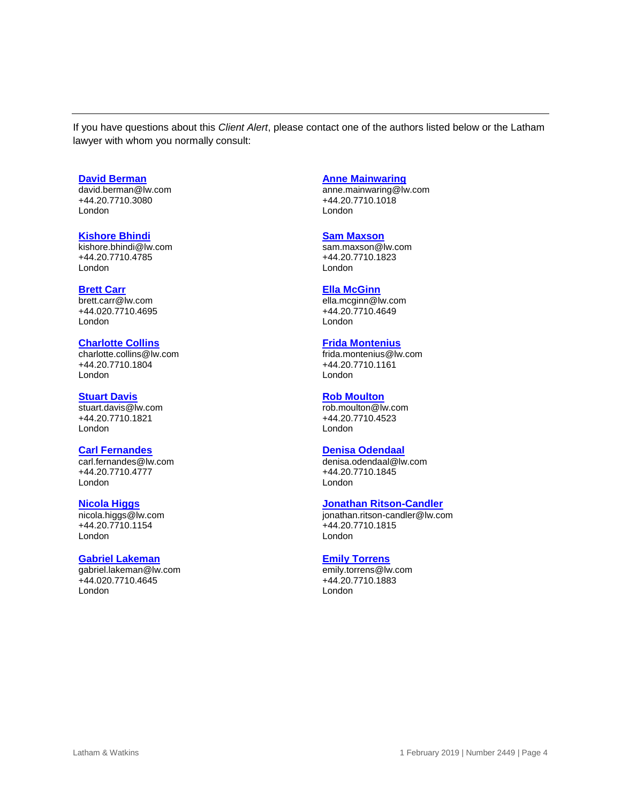If you have questions about this *Client Alert*, please contact one of the authors listed below or the Latham lawyer with whom you normally consult:

#### **[David Berman](https://www.lw.com/people/david-berman)**

[david.berman@lw.com](mailto:david.berman@lw.com) +44.20.7710.3080 London

#### **Kishore Bhindi**

[kishore.bhindi@lw.com](mailto:kishore.bhindi@lw.com) +44.20.7710.4785 London

#### **[Brett Carr](https://www.lw.com/people/brett-carr)**

[brett.carr@lw.com](mailto:brett.carr@lw.com) +44.020.7710.4695 London

#### **[Charlotte Collins](https://www.lw.com/people/charlotte-collins)**

[charlotte.collins@lw.com](mailto:charlotte.collins@lw.com) +44.20.7710.1804 London

#### **[Stuart Davis](https://www.lw.com/people/stuart-davis)**

[stuart.davis@lw.com](mailto:stuart.davis@lw.com) +44.20.7710.1821 London

#### **[Carl Fernandes](https://www.lw.com/people/carl-fernandes)**

[carl.fernandes@lw.com](mailto:carl.fernandes@lw.com) +44.20.7710.4777 London

#### **[Nicola Higgs](https://www.lw.com/people/nicola-higgs)**

[nicola.higgs@lw.com](mailto:nicola.higgs@lw.com) +44.20.7710.1154 London

#### **[Gabriel Lakeman](https://www.lw.com/people/gabriel-lakeman)**

[gabriel.lakeman@lw.com](mailto:gabriel.lakeman@lw.com) +44.020.7710.4645 London

#### **[Anne Mainwaring](https://www.lw.com/people/anne-mainwaring)**

[anne.mainwaring@lw.com](mailto:anne.mainwaring@lw.com) +44.20.7710.1018 London

#### **[Sam Maxson](https://www.lw.com/people/sam-maxson)**

[sam.maxson@lw.com](mailto:sam.maxson@lw.com) +44.20.7710.1823 London

#### **[Ella McGinn](https://www.lw.com/people/ella-mcginn)**

[ella.mcginn@lw.com](mailto:ella.mcginn@lw.com) +44.20.7710.4649 London

#### **[Frida Montenius](https://www.lw.com/people/frida-montenius)**

[frida.montenius@lw.com](mailto:frida.montenius@lw.com) +44.20.7710.1161 London

#### **[Rob Moulton](https://www.lw.com/people/rob-moulton)**

[rob.moulton@lw.com](mailto:rob.moulton@lw.com) +44.20.7710.4523 London

#### **[Denisa Odendaal](https://www.lw.com/people/denisa-odendaal)**

[denisa.odendaal@lw.com](mailto:denisa.odendaal@lw.com) +44.20.7710.1845 London

#### **Jonathan [Ritson-Candler](https://www.lw.com/people/jonathan-ritson-candler)**

[jonathan.ritson-candler@lw.com](mailto:jonathan.ritson-candler@lw.com) +44.20.7710.1815 London

#### **[Emily Torrens](https://www.lw.com/people/emily-torrens)**

[emily.torrens@lw.com](mailto:emily.torrens@lw.com) +44.20.7710.1883 London